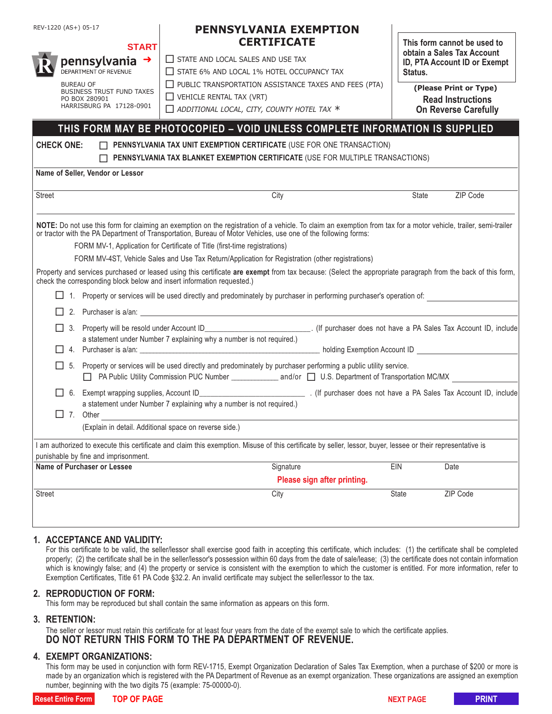| REV-1220 (AS+) 05-17        |                                                                                                                                                                                                |                                      | <b>PENNSYLVANIA EXEMPTION</b>                                                                                                                                                                                                                                                                                                                                                                                                                                                                                                                                                                                                       |                             |                                                                                                                              |          |  |  |  |  |
|-----------------------------|------------------------------------------------------------------------------------------------------------------------------------------------------------------------------------------------|--------------------------------------|-------------------------------------------------------------------------------------------------------------------------------------------------------------------------------------------------------------------------------------------------------------------------------------------------------------------------------------------------------------------------------------------------------------------------------------------------------------------------------------------------------------------------------------------------------------------------------------------------------------------------------------|-----------------------------|------------------------------------------------------------------------------------------------------------------------------|----------|--|--|--|--|
| <b>START</b>                |                                                                                                                                                                                                |                                      | <b>CERTIFICATE</b>                                                                                                                                                                                                                                                                                                                                                                                                                                                                                                                                                                                                                  |                             | This form cannot be used to<br>obtain a Sales Tax Account                                                                    |          |  |  |  |  |
| pennsylvania $\rightarrow$  |                                                                                                                                                                                                |                                      | $\Box$ STATE AND LOCAL SALES AND USE TAX<br>STATE 6% AND LOCAL 1% HOTEL OCCUPANCY TAX<br>$\Box$ PUBLIC TRANSPORTATION ASSISTANCE TAXES AND FEES (PTA)<br>$\Box$ VEHICLE RENTAL TAX (VRT)<br>$\Box$ ADDITIONAL LOCAL, CITY, COUNTY HOTEL TAX $*$                                                                                                                                                                                                                                                                                                                                                                                     |                             | ID, PTA Account ID or Exempt<br>Status.<br>(Please Print or Type)<br><b>Read Instructions</b><br><b>On Reverse Carefully</b> |          |  |  |  |  |
|                             | DEPARTMENT OF REVENUE<br><b>BUREAU OF</b><br><b>BUSINESS TRUST FUND TAXES</b><br>PO BOX 280901<br>HARRISBURG PA 17128-0901                                                                     |                                      |                                                                                                                                                                                                                                                                                                                                                                                                                                                                                                                                                                                                                                     |                             |                                                                                                                              |          |  |  |  |  |
|                             |                                                                                                                                                                                                |                                      |                                                                                                                                                                                                                                                                                                                                                                                                                                                                                                                                                                                                                                     |                             |                                                                                                                              |          |  |  |  |  |
|                             |                                                                                                                                                                                                |                                      |                                                                                                                                                                                                                                                                                                                                                                                                                                                                                                                                                                                                                                     |                             |                                                                                                                              |          |  |  |  |  |
|                             |                                                                                                                                                                                                |                                      |                                                                                                                                                                                                                                                                                                                                                                                                                                                                                                                                                                                                                                     |                             |                                                                                                                              |          |  |  |  |  |
|                             |                                                                                                                                                                                                |                                      | THIS FORM MAY BE PHOTOCOPIED - VOID UNLESS COMPLETE INFORMATION IS SUPPLIED                                                                                                                                                                                                                                                                                                                                                                                                                                                                                                                                                         |                             |                                                                                                                              |          |  |  |  |  |
| <b>CHECK ONE:</b>           |                                                                                                                                                                                                |                                      | PENNSYLVANIA TAX UNIT EXEMPTION CERTIFICATE (USE FOR ONE TRANSACTION)                                                                                                                                                                                                                                                                                                                                                                                                                                                                                                                                                               |                             |                                                                                                                              |          |  |  |  |  |
|                             | PENNSYLVANIA TAX BLANKET EXEMPTION CERTIFICATE (USE FOR MULTIPLE TRANSACTIONS)                                                                                                                 |                                      |                                                                                                                                                                                                                                                                                                                                                                                                                                                                                                                                                                                                                                     |                             |                                                                                                                              |          |  |  |  |  |
|                             |                                                                                                                                                                                                | Name of Seller, Vendor or Lessor     |                                                                                                                                                                                                                                                                                                                                                                                                                                                                                                                                                                                                                                     |                             |                                                                                                                              |          |  |  |  |  |
| <b>Street</b>               |                                                                                                                                                                                                |                                      | City                                                                                                                                                                                                                                                                                                                                                                                                                                                                                                                                                                                                                                |                             | State                                                                                                                        | ZIP Code |  |  |  |  |
|                             |                                                                                                                                                                                                |                                      | NOTE: Do not use this form for claiming an exemption on the registration of a vehicle. To claim an exemption from tax for a motor vehicle, trailer, semi-trailer<br>or tractor with the PA Department of Transportation, Bureau of Motor Vehicles, use one of the following forms:<br>FORM MV-1, Application for Certificate of Title (first-time registrations)<br>FORM MV-4ST, Vehicle Sales and Use Tax Return/Application for Registration (other registrations)<br>Property and services purchased or leased using this certificate are exempt from tax because: (Select the appropriate paragraph from the back of this form, |                             |                                                                                                                              |          |  |  |  |  |
|                             | check the corresponding block below and insert information requested.)<br>1. Property or services will be used directly and predominately by purchaser in performing purchaser's operation of: |                                      |                                                                                                                                                                                                                                                                                                                                                                                                                                                                                                                                                                                                                                     |                             |                                                                                                                              |          |  |  |  |  |
|                             |                                                                                                                                                                                                |                                      |                                                                                                                                                                                                                                                                                                                                                                                                                                                                                                                                                                                                                                     |                             |                                                                                                                              |          |  |  |  |  |
|                             |                                                                                                                                                                                                |                                      |                                                                                                                                                                                                                                                                                                                                                                                                                                                                                                                                                                                                                                     |                             |                                                                                                                              |          |  |  |  |  |
|                             |                                                                                                                                                                                                |                                      | a statement under Number 7 explaining why a number is not required.)                                                                                                                                                                                                                                                                                                                                                                                                                                                                                                                                                                |                             |                                                                                                                              |          |  |  |  |  |
|                             |                                                                                                                                                                                                |                                      |                                                                                                                                                                                                                                                                                                                                                                                                                                                                                                                                                                                                                                     |                             |                                                                                                                              |          |  |  |  |  |
|                             | 5. Property or services will be used directly and predominately by purchaser performing a public utility service.                                                                              |                                      |                                                                                                                                                                                                                                                                                                                                                                                                                                                                                                                                                                                                                                     |                             |                                                                                                                              |          |  |  |  |  |
|                             |                                                                                                                                                                                                |                                      |                                                                                                                                                                                                                                                                                                                                                                                                                                                                                                                                                                                                                                     |                             |                                                                                                                              |          |  |  |  |  |
|                             |                                                                                                                                                                                                |                                      | a statement under Number 7 explaining why a number is not required.)                                                                                                                                                                                                                                                                                                                                                                                                                                                                                                                                                                |                             |                                                                                                                              |          |  |  |  |  |
|                             |                                                                                                                                                                                                | 7. Other                             | (Explain in detail. Additional space on reverse side.)                                                                                                                                                                                                                                                                                                                                                                                                                                                                                                                                                                              |                             |                                                                                                                              |          |  |  |  |  |
|                             |                                                                                                                                                                                                |                                      |                                                                                                                                                                                                                                                                                                                                                                                                                                                                                                                                                                                                                                     |                             |                                                                                                                              |          |  |  |  |  |
|                             |                                                                                                                                                                                                | punishable by fine and imprisonment. | I am authorized to execute this certificate and claim this exemption. Misuse of this certificate by seller, lessor, buyer, lessee or their representative is                                                                                                                                                                                                                                                                                                                                                                                                                                                                        |                             |                                                                                                                              |          |  |  |  |  |
| Name of Purchaser or Lessee |                                                                                                                                                                                                |                                      | Signature                                                                                                                                                                                                                                                                                                                                                                                                                                                                                                                                                                                                                           |                             | EIN                                                                                                                          | Date     |  |  |  |  |
|                             |                                                                                                                                                                                                |                                      |                                                                                                                                                                                                                                                                                                                                                                                                                                                                                                                                                                                                                                     | Please sign after printing. |                                                                                                                              |          |  |  |  |  |
| Street                      |                                                                                                                                                                                                |                                      | City                                                                                                                                                                                                                                                                                                                                                                                                                                                                                                                                                                                                                                |                             | State                                                                                                                        | ZIP Code |  |  |  |  |
|                             |                                                                                                                                                                                                |                                      |                                                                                                                                                                                                                                                                                                                                                                                                                                                                                                                                                                                                                                     |                             |                                                                                                                              |          |  |  |  |  |

# **1. ACCEPTANCE AND VALIDITY:**

For this certificate to be valid, the seller/lessor shall exercise good faith in accepting this certificate, which includes: (1) the certificate shall be completed properly; (2) the certificate shall be in the seller/lessor's possession within 60 days from the date of sale/lease; (3) the certificate does not contain information which is knowingly false; and (4) the property or service is consistent with the exemption to which the customer is entitled. For more information, refer to Exemption Certificates, Title 61 PA Code §32.2. An invalid certificate may subject the seller/lessor to the tax.

#### **2. REPRODUCTION OF FORM:**

This form may be reproduced but shall contain the same information as appears on this form.

### **3. RETENTION:**

The seller or lessor must retain this certificate for at least four years from the date of the exempt sale to which the certificate applies. **DO NOT RETURN THIS FORM TO THE PA DEPARTMENT OF REVENUE.**

# **4. EXEMPT ORGANIZATIONS:**

This form may be used in conjunction with form REV-1715, Exempt Organization Declaration of Sales Tax Exemption, when a purchase of \$200 or more is made by an organization which is registered with the PA Department of Revenue as an exempt organization. These organizations are assigned an exemption number, beginning with the two digits 75 (example: 75-00000-0).